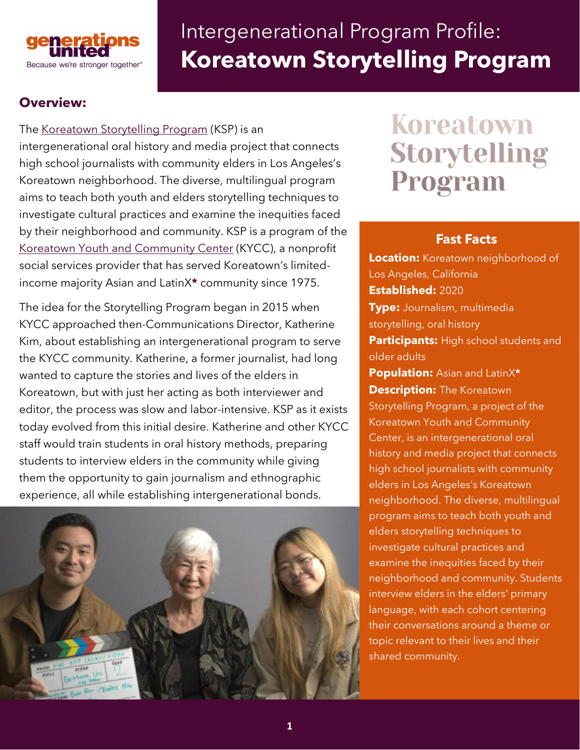

# Intergenerational Program Profile: **Koreatown Storytelling Program**

# **Overview:**

The [Koreatown Storytelling Program](https://www.koreatownstorytellingprogram.org/) (KSP) is an intergenerational oral history and media project that connects high school journalists with community elders in Los Angeles's Koreatown neighborhood. The diverse, multilingual program aims to teach both youth and elders storytelling techniques to investigate cultural practices and examine the inequities faced by their neighborhood and community. KSP is a program of the [Koreatown Youth and Community Center](https://www.kyccla.org/) (KYCC), a nonprofit social services provider that has served Koreatown's limitedincome majority Asian and LatinX**\*** community since 1975.

The idea for the Storytelling Program began in 2015 when KYCC approached then-Communications Director, Katherine Kim, about establishing an intergenerational program to serve the KYCC community. Katherine, a former journalist, had long wanted to capture the stories and lives of the elders in Koreatown, but with just her acting as both interviewer and editor, the process was slow and labor-intensive. KSP as it exists today evolved from this initial desire. Katherine and other KYCC staff would train students in oral history methods, preparing students to interview elders in the community while giving them the opportunity to gain journalism and ethnographic experience, all while establishing intergenerational bonds.



# Koreatown Storytelling Program

#### **Fast Facts**

**Location:** Koreatown neighborhood of Los Angeles, California **Established:** 2020 **Type:** Journalism, multimedia storytelling, oral history **Participants:** High school students and older adults **Population:** Asian and LatinX**\* Description:** The Koreatown Storytelling Program, a project of the Koreatown Youth and Community Center, is an intergenerational oral history and media project that connects high school journalists with community elders in Los Angeles's Koreatown neighborhood. The diverse, multilingual program aims to teach both youth and elders storytelling techniques to investigate cultural practices and examine the inequities faced by their neighborhood and community. Students interview elders in the elders' primary language, with each cohort centering their conversations around a theme or topic relevant to their lives and their shared community.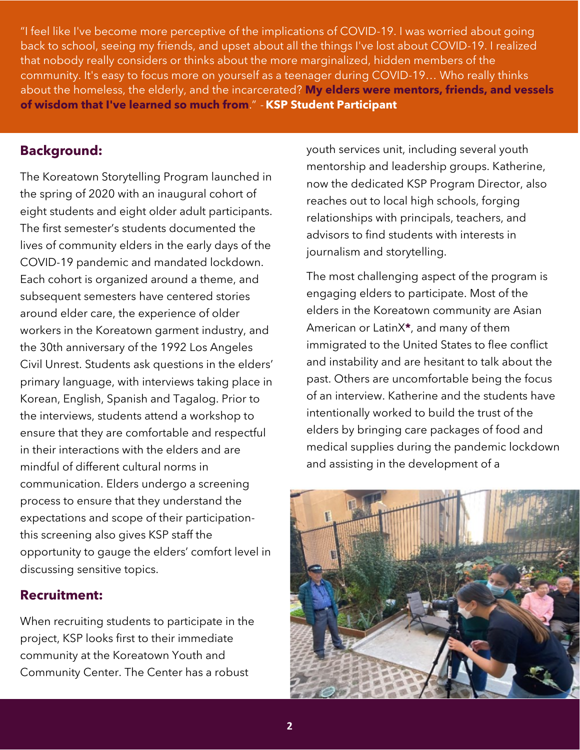"I feel like I've become more perceptive of the implications of COVID-19. I was worried about going back to school, seeing my friends, and upset about all the things I've lost about COVID-19. I realized that nobody really considers or thinks about the more marginalized, hidden members of the community. It's easy to focus more on yourself as a teenager during COVID-19… Who really thinks about the homeless, the elderly, and the incarcerated? **My elders were mentors, friends, and vessels of wisdom that I've learned so much from**." - **KSP Student Participant**

#### **Background:**

The Koreatown Storytelling Program launched in the spring of 2020 with an inaugural cohort of eight students and eight older adult participants. The first semester's students documented the lives of community elders in the early days of the COVID-19 pandemic and mandated lockdown. Each cohort is organized around a theme, and subsequent semesters have centered stories around elder care, the experience of older workers in the Koreatown garment industry, and the 30th anniversary of the 1992 Los Angeles Civil Unrest. Students ask questions in the elders' primary language, with interviews taking place in Korean, English, Spanish and Tagalog. Prior to the interviews, students attend a workshop to ensure that they are comfortable and respectful in their interactions with the elders and are mindful of different cultural norms in communication. Elders undergo a screening process to ensure that they understand the expectations and scope of their participationthis screening also gives KSP staff the opportunity to gauge the elders' comfort level in discussing sensitive topics.

#### **Recruitment:**

When recruiting students to participate in the project, KSP looks first to their immediate community at the Koreatown Youth and Community Center. The Center has a robust

youth services unit, including several youth mentorship and leadership groups. Katherine, now the dedicated KSP Program Director, also reaches out to local high schools, forging relationships with principals, teachers, and advisors to find students with interests in journalism and storytelling.

The most challenging aspect of the program is engaging elders to participate. Most of the elders in the Koreatown community are Asian American or LatinX**\***, and many of them immigrated to the United States to flee conflict and instability and are hesitant to talk about the past. Others are uncomfortable being the focus of an interview. Katherine and the students have intentionally worked to build the trust of the elders by bringing care packages of food and medical supplies during the pandemic lockdown and assisting in the development of a

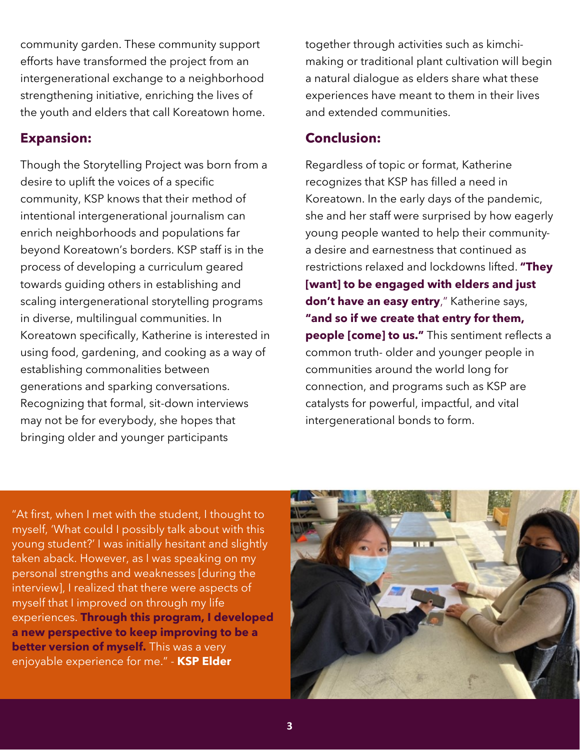community garden. These community support efforts have transformed the project from an intergenerational exchange to a neighborhood strengthening initiative, enriching the lives of the youth and elders that call Koreatown home.

#### **Expansion:**

Though the Storytelling Project was born from a desire to uplift the voices of a specific community, KSP knows that their method of intentional intergenerational journalism can enrich neighborhoods and populations far beyond Koreatown's borders. KSP staff is in the process of developing a curriculum geared towards guiding others in establishing and scaling intergenerational storytelling programs in diverse, multilingual communities. In Koreatown specifically, Katherine is interested in using food, gardening, and cooking as a way of establishing commonalities between generations and sparking conversations. Recognizing that formal, sit-down interviews may not be for everybody, she hopes that bringing older and younger participants

together through activities such as kimchimaking or traditional plant cultivation will begin a natural dialogue as elders share what these experiences have meant to them in their lives and extended communities.

## **Conclusion:**

Regardless of topic or format, Katherine recognizes that KSP has filled a need in Koreatown. In the early days of the pandemic, she and her staff were surprised by how eagerly young people wanted to help their communitya desire and earnestness that continued as restrictions relaxed and lockdowns lifted. **"They [want] to be engaged with elders and just don't have an easy entry**," Katherine says, **"and so if we create that entry for them, people [come] to us."** This sentiment reflects a common truth- older and younger people in communities around the world long for connection, and programs such as KSP are catalysts for powerful, impactful, and vital intergenerational bonds to form.

"At first, when I met with the student, I thought to myself, 'What could I possibly talk about with this young student?' I was initially hesitant and slightly taken aback. However, as I was speaking on my personal strengths and weaknesses [during the interview], I realized that there were aspects of myself that I improved on through my life experiences. **Through this program, I developed a new perspective to keep improving to be a better version of myself.** This was a very enjoyable experience for me." - **KSP Elder**